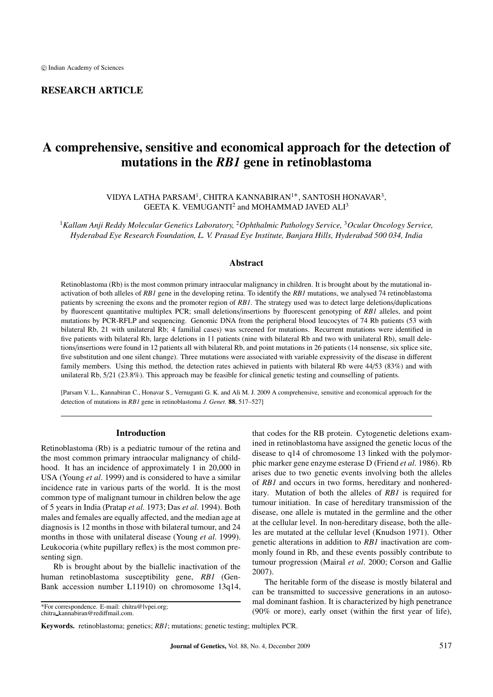## RESEARCH ARTICLE

# A comprehensive, sensitive and economical approach for the detection of mutations in the *RB1* gene in retinoblastoma

VIDYA LATHA PARSAM1, CHITRA KANNABIRAN1∗, SANTOSH HONAVAR3, GEETA K. VEMUGANTI<sup>2</sup> and MOHAMMAD JAVED ALI<sup>3</sup>

<sup>1</sup>*Kallam Anji Reddy Molecular Genetics Laboratory,* <sup>2</sup>*Ophthalmic Pathology Service,* <sup>3</sup>*Ocular Oncology Service, Hyderabad Eye Research Foundation, L. V. Prasad Eye Institute, Banjara Hills, Hyderabad 500 034, India*

## **Abstract**

Retinoblastoma (Rb) is the most common primary intraocular malignancy in children. It is brought about by the mutational inactivation of both alleles of *RB1* gene in the developing retina. To identify the *RB1* mutations, we analysed 74 retinoblastoma patients by screening the exons and the promoter region of *RB1*. The strategy used was to detect large deletions/duplications by fluorescent quantitative multiplex PCR; small deletions/insertions by fluorescent genotyping of *RB1* alleles, and point mutations by PCR-RFLP and sequencing. Genomic DNA from the peripheral blood leucocytes of 74 Rb patients (53 with bilateral Rb, 21 with unilateral Rb; 4 familial cases) was screened for mutations. Recurrent mutations were identified in five patients with bilateral Rb, large deletions in 11 patients (nine with bilateral Rb and two with unilateral Rb), small deletions/insertions were found in 12 patients all with bilateral Rb, and point mutations in 26 patients (14 nonsense, six splice site, five substitution and one silent change). Three mutations were associated with variable expressivity of the disease in different family members. Using this method, the detection rates achieved in patients with bilateral Rb were 44/53 (83%) and with unilateral Rb, 5/21 (23.8%). This approach may be feasible for clinical genetic testing and counselling of patients.

[Parsam V. L., Kannabiran C., Honavar S., Vernuganti G. K. and Ali M. J. 2009 A comprehensive, sensitive and economical approach for the detection of mutations in *RB1* gene in retinoblastoma *J. Genet*. 88, 517–527]

## Introduction

Retinoblastoma (Rb) is a pediatric tumour of the retina and the most common primary intraocular malignancy of childhood. It has an incidence of approximately 1 in 20,000 in USA (Young *et al*. 1999) and is considered to have a similar incidence rate in various parts of the world. It is the most common type of malignant tumour in children below the age of 5 years in India (Pratap *et al*. 1973; Das *et al*. 1994). Both males and females are equally affected, and the median age at diagnosis is 12 months in those with bilateral tumour, and 24 months in those with unilateral disease (Young *et al*. 1999). Leukocoria (white pupillary reflex) is the most common presenting sign.

Rb is brought about by the biallelic inactivation of the human retinoblastoma susceptibility gene, *RB1* (Gen-Bank accession number L11910) on chromosome 13q14,

\*For correspondence. E-mail: chitra@lvpei.org; chitra kannabiran@rediffmail.com.

that codes for the RB protein. Cytogenetic deletions examined in retinoblastoma have assigned the genetic locus of the disease to q14 of chromosome 13 linked with the polymorphic marker gene enzyme esterase D (Friend *et al*. 1986). Rb arises due to two genetic events involving both the alleles of *RB1* and occurs in two forms, hereditary and nonhereditary. Mutation of both the alleles of *RB1* is required for tumour initiation. In case of hereditary transmission of the disease, one allele is mutated in the germline and the other at the cellular level. In non-hereditary disease, both the alleles are mutated at the cellular level (Knudson 1971). Other genetic alterations in addition to *RB1* inactivation are commonly found in Rb, and these events possibly contribute to tumour progression (Mairal *et al*. 2000; Corson and Gallie 2007).

The heritable form of the disease is mostly bilateral and can be transmitted to successive generations in an autosomal dominant fashion. It is characterized by high penetrance (90% or more), early onset (within the first year of life),

Keywords. retinoblastoma; genetics; *RB1*; mutations; genetic testing; multiplex PCR.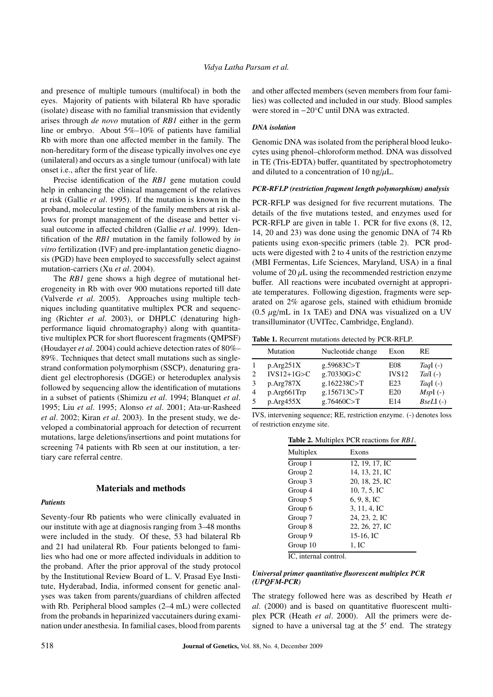and presence of multiple tumours (multifocal) in both the eyes. Majority of patients with bilateral Rb have sporadic (isolate) disease with no familial transmission that evidently arises through *de novo* mutation of *RB1* either in the germ line or embryo. About 5%–10% of patients have familial Rb with more than one affected member in the family. The non-hereditary form of the disease typically involves one eye (unilateral) and occurs as a single tumour (unifocal) with late onset i.e., after the first year of life.

Precise identification of the *RB1* gene mutation could help in enhancing the clinical management of the relatives at risk (Gallie *et al*. 1995). If the mutation is known in the proband, molecular testing of the family members at risk allows for prompt management of the disease and better visual outcome in affected children (Gallie *et al*. 1999). Identification of the *RB1* mutation in the family followed by *in vitro* fertilization (IVF) and pre-implantation genetic diagnosis (PGD) have been employed to successfully select against mutation-carriers (Xu *et al*. 2004).

The *RB1* gene shows a high degree of mutational heterogeneity in Rb with over 900 mutations reported till date (Valverde *et al*. 2005). Approaches using multiple techniques including quantitative multiplex PCR and sequencing (Richter *et al*. 2003), or DHPLC (denaturing highperformance liquid chromatography) along with quantitative multiplex PCR for short fluorescent fragments (QMPSF) (Houdayer *et al*. 2004) could achieve detection rates of 80%– 89%. Techniques that detect small mutations such as singlestrand conformation polymorphism (SSCP), denaturing gradient gel electrophoresis (DGGE) or heteroduplex analysis followed by sequencing allow the identification of mutations in a subset of patients (Shimizu *et al*. 1994; Blanquet *et al*. 1995; Liu *et al*. 1995; Alonso *et al*. 2001; Ata-ur-Rasheed *et al*. 2002; Kiran *et al*. 2003). In the present study, we developed a combinatorial approach for detection of recurrent mutations, large deletions/insertions and point mutations for screening 74 patients with Rb seen at our institution, a tertiary care referral centre.

## Materials and methods

## *Patients*

Seventy-four Rb patients who were clinically evaluated in our institute with age at diagnosis ranging from 3–48 months were included in the study. Of these, 53 had bilateral Rb and 21 had unilateral Rb. Four patients belonged to families who had one or more affected individuals in addition to the proband. After the prior approval of the study protocol by the Institutional Review Board of L. V. Prasad Eye Institute, Hyderabad, India, informed consent for genetic analyses was taken from parents/guardians of children affected with Rb. Peripheral blood samples (2–4 mL) were collected from the probands in heparinized vaccutainers during examination under anesthesia. In familial cases, blood from parents and other affected members (seven members from four families) was collected and included in our study. Blood samples were stored in −20◦C until DNA was extracted.

#### *DNA isolation*

Genomic DNA was isolated from the peripheral blood leukocytes using phenol–chloroform method. DNA was dissolved in TE (Tris-EDTA) buffer, quantitated by spectrophotometry and diluted to a concentration of 10 ng/ $\mu$ L.

## *PCR-RFLP (restriction fragment length polymorphism) analysis*

PCR-RFLP was designed for five recurrent mutations. The details of the five mutations tested, and enzymes used for PCR-RFLP are given in table 1. PCR for five exons (8, 12, 14, 20 and 23) was done using the genomic DNA of 74 Rb patients using exon-specific primers (table 2). PCR products were digested with 2 to 4 units of the restriction enzyme (MBI Fermentas, Life Sciences, Maryland, USA) in a final volume of 20  $\mu$ L using the recommended restriction enzyme buffer. All reactions were incubated overnight at appropriate temperatures. Following digestion, fragments were separated on 2% agarose gels, stained with ethidium bromide  $(0.5 \mu g/mL$  in 1x TAE) and DNA was visualized on a UV transilluminator (UVITec, Cambridge, England).

Table 1. Recurrent mutations detected by PCR-RFLP.

|   | Mutation     | Nucleotide change | Exon              | RE.        |
|---|--------------|-------------------|-------------------|------------|
|   | p.Arg251X    | g.59683C > T      | E08               | TagI $(-)$ |
| 2 | $IVS12+1G>C$ | g.70330G > C      | IVS <sub>12</sub> | Tail $(-)$ |
| 3 | p.Arg787X    | g.162238C>T       | E <sub>23</sub>   | TagI $(-)$ |
| 4 | p.Arg661Trp  | g.156713C>T       | E <sub>20</sub>   | $MspI(-)$  |
| 5 | p. Arg455X   | g.76460C > T      | E14               | $BseLI(-)$ |

IVS, intervening sequence; RE, restriction enzyme. (-) denotes loss of restriction enzyme site.

Table 2. Multiplex PCR reactions for *RB1*.

| Multiplex | Exons          |
|-----------|----------------|
| Group 1   | 12, 19, 17, IC |
| Group 2   | 14, 13, 21, IC |
| Group 3   | 20, 18, 25, IC |
| Group 4   | 10, 7, 5, IC   |
| Group 5   | 6, 9, 8, 1C    |
| Group 6   | 3, 11, 4, IC   |
| Group 7   | 24, 23, 2, IC  |
| Group 8   | 22, 26, 27, IC |
| Group 9   | $15-16$ , IC   |
| Group 10  | 1. IC          |

IC, internal control.

## *Universal primer quantitative fluorescent multiplex PCR (UPQFM-PCR)*

The strategy followed here was as described by Heath *et al*. (2000) and is based on quantitative fluorescent multiplex PCR (Heath *et al*. 2000). All the primers were designed to have a universal tag at the  $5'$  end. The strategy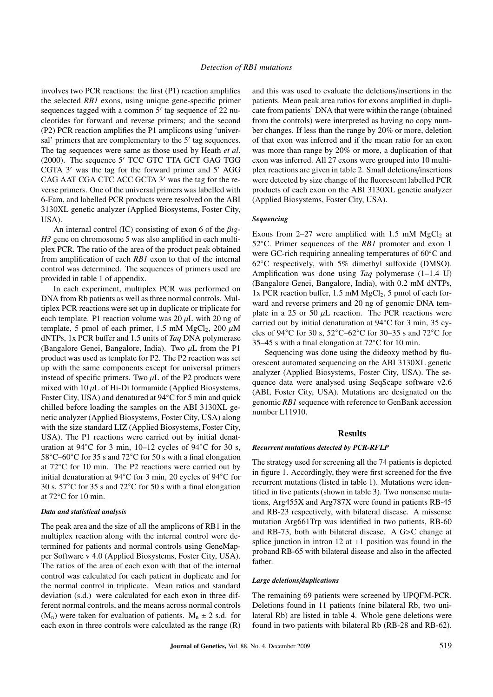involves two PCR reactions: the first (P1) reaction amplifies the selected *RB1* exons, using unique gene-specific primer sequences tagged with a common  $5'$  tag sequence of 22 nucleotides for forward and reverse primers; and the second (P2) PCR reaction amplifies the P1 amplicons using 'universal' primers that are complementary to the 5' tag sequences. The tag sequences were same as those used by Heath *et al*.  $(2000)$ . The sequence  $5'$  TCC GTC TTA GCT GAG TGG CGTA  $3'$  was the tag for the forward primer and  $5'$  AGG CAG AAT CGA CTC ACC GCTA 3' was the tag for the reverse primers. One of the universal primers was labelled with 6-Fam, and labelled PCR products were resolved on the ABI 3130XL genetic analyzer (Applied Biosystems, Foster City, USA).

An internal control (IC) consisting of exon 6 of the β*ig-H3* gene on chromosome 5 was also amplified in each multiplex PCR. The ratio of the area of the product peak obtained from amplification of each *RB1* exon to that of the internal control was determined. The sequences of primers used are provided in table 1 of appendix.

In each experiment, multiplex PCR was performed on DNA from Rb patients as well as three normal controls. Multiplex PCR reactions were set up in duplicate or triplicate for each template. P1 reaction volume was  $20 \mu L$  with  $20$  ng of template, 5 pmol of each primer, 1.5 mM MgCl<sub>2</sub>, 200  $\mu$ M dNTPs, 1x PCR buffer and 1.5 units of *Taq* DNA polymerase (Bangalore Genei, Bangalore, India). Two  $\mu$ L from the P1 product was used as template for P2. The P2 reaction was set up with the same components except for universal primers instead of specific primers. Two  $\mu$ L of the P2 products were mixed with  $10 \mu L$  of Hi-Di formamide (Applied Biosystems, Foster City, USA) and denatured at 94◦C for 5 min and quick chilled before loading the samples on the ABI 3130XL genetic analyzer (Applied Biosystems, Foster City, USA) along with the size standard LIZ (Applied Biosystems, Foster City, USA). The P1 reactions were carried out by initial denaturation at 94◦C for 3 min, 10–12 cycles of 94◦C for 30 s, 58◦C–60◦C for 35 s and 72◦C for 50 s with a final elongation at 72◦C for 10 min. The P2 reactions were carried out by initial denaturation at 94◦C for 3 min, 20 cycles of 94◦C for 30 s, 57◦C for 35 s and 72◦C for 50 s with a final elongation at 72◦C for 10 min.

## *Data and statistical analysis*

The peak area and the size of all the amplicons of RB1 in the multiplex reaction along with the internal control were determined for patients and normal controls using GeneMapper Software v 4.0 (Applied Biosystems, Foster City, USA). The ratios of the area of each exon with that of the internal control was calculated for each patient in duplicate and for the normal control in triplicate. Mean ratios and standard deviation (s.d.) were calculated for each exon in three different normal controls, and the means across normal controls  $(M_n)$  were taken for evaluation of patients.  $M_n \pm 2$  s.d. for each exon in three controls were calculated as the range (R) and this was used to evaluate the deletions/insertions in the patients. Mean peak area ratios for exons amplified in duplicate from patients' DNA that were within the range (obtained from the controls) were interpreted as having no copy number changes. If less than the range by 20% or more, deletion of that exon was inferred and if the mean ratio for an exon was more than range by 20% or more, a duplication of that exon was inferred. All 27 exons were grouped into 10 multiplex reactions are given in table 2. Small deletions/insertions were detected by size change of the fluorescent labelled PCR products of each exon on the ABI 3130XL genetic analyzer (Applied Biosystems, Foster City, USA).

#### *Sequencing*

Exons from 2–27 were amplified with 1.5 mM  $MgCl<sub>2</sub>$  at 52◦C. Primer sequences of the *RB1* promoter and exon 1 were GC-rich requiring annealing temperatures of 60◦C and 62◦C respectively, with 5% dimethyl sulfoxide (DMSO). Amplification was done using *Taq* polymerase (1–1.4 U) (Bangalore Genei, Bangalore, India), with 0.2 mM dNTPs, 1x PCR reaction buffer, 1.5 mM  $MgCl<sub>2</sub>$ , 5 pmol of each forward and reverse primers and 20 ng of genomic DNA template in a 25 or 50  $\mu$ L reaction. The PCR reactions were carried out by initial denaturation at 94◦C for 3 min, 35 cycles of 94◦C for 30 s, 52◦C–62◦C for 30–35 s and 72◦C for 35–45 s with a final elongation at 72◦C for 10 min.

Sequencing was done using the dideoxy method by fluorescent automated sequencing on the ABI 3130XL genetic analyzer (Applied Biosystems, Foster City, USA). The sequence data were analysed using SeqScape software v2.6 (ABI, Foster City, USA). Mutations are designated on the genomic *RB1* sequence with reference to GenBank accession number L11910.

#### Results

#### *Recurrent mutations detected by PCR-RFLP*

The strategy used for screening all the 74 patients is depicted in figure 1. Accordingly, they were first screened for the five recurrent mutations (listed in table 1). Mutations were identified in five patients (shown in table 3). Two nonsense mutations, Arg455X and Arg787X were found in patients RB-45 and RB-23 respectively, with bilateral disease. A missense mutation Arg661Trp was identified in two patients, RB-60 and RB-73, both with bilateral disease. A G>C change at splice junction in intron 12 at  $+1$  position was found in the proband RB-65 with bilateral disease and also in the affected father.

#### *Large deletions*/*duplications*

The remaining 69 patients were screened by UPQFM-PCR. Deletions found in 11 patients (nine bilateral Rb, two unilateral Rb) are listed in table 4. Whole gene deletions were found in two patients with bilateral Rb (RB-28 and RB-62).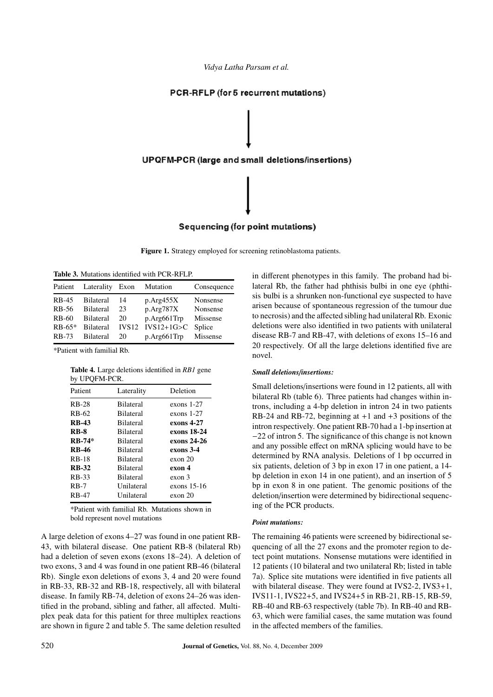*Vidya Latha Parsam et al.*



Figure 1. Strategy employed for screening retinoblastoma patients.

Table 3. Mutations identified with PCR-RFLP.

| Patient      | Laterality Exon  |                   | Mutation       | Consequence |
|--------------|------------------|-------------------|----------------|-------------|
| <b>RB-45</b> | <b>Bilateral</b> | 14                | p. Arg455X     | Nonsense    |
| RB-56        | <b>Bilateral</b> | 23                | p.Arg787X      | Nonsense    |
| RB-60        | <b>Bilateral</b> | 20                | $p.Arg661$ Trp | Missense    |
| $RB-65*$     | Bilateral        | IVS <sub>12</sub> | $IVS12+1G>C$   | Splice      |
| <b>RB-73</b> | <b>Bilateral</b> | 20                | $p.Arg661$ Trp | Missense    |

\*Patient with familial Rb.

Table 4. Large deletions identified in *RB1* gene by UPQFM-PCR.

| Patient      | Laterality       | Deletion          |
|--------------|------------------|-------------------|
| <b>RB-28</b> | <b>Bilateral</b> | exons 1-27        |
| RB-62        | <b>Bilateral</b> | exons $1-27$      |
| <b>RB-43</b> | <b>Bilateral</b> | exons 4-27        |
| <b>RB-8</b>  | <b>Bilateral</b> | exons 18-24       |
| $RB-74*$     | <b>Bilateral</b> | exons 24-26       |
| <b>RB-46</b> | <b>Bilateral</b> | exons 3-4         |
| <b>RB-18</b> | <b>Bilateral</b> | exon 20           |
| <b>RB-32</b> | <b>Bilateral</b> | exon 4            |
| <b>RB-33</b> | <b>Bilateral</b> | exon <sub>3</sub> |
| $RB-7$       | Unilateral       | exons 15-16       |
| <b>RB-47</b> | Unilateral       | exon 20           |

\*Patient with familial Rb. Mutations shown in bold represent novel mutations

A large deletion of exons 4–27 was found in one patient RB-43, with bilateral disease. One patient RB-8 (bilateral Rb) had a deletion of seven exons (exons 18–24). A deletion of two exons, 3 and 4 was found in one patient RB-46 (bilateral Rb). Single exon deletions of exons 3, 4 and 20 were found in RB-33, RB-32 and RB-18, respectively, all with bilateral disease. In family RB-74, deletion of exons 24–26 was identified in the proband, sibling and father, all affected. Multiplex peak data for this patient for three multiplex reactions are shown in figure 2 and table 5. The same deletion resulted in different phenotypes in this family. The proband had bilateral Rb, the father had phthisis bulbi in one eye (phthisis bulbi is a shrunken non-functional eye suspected to have arisen because of spontaneous regression of the tumour due to necrosis) and the affected sibling had unilateral Rb. Exonic deletions were also identified in two patients with unilateral disease RB-7 and RB-47, with deletions of exons 15–16 and 20 respectively. Of all the large deletions identified five are novel.

### *Small deletions*/*insertions:*

Small deletions/insertions were found in 12 patients, all with bilateral Rb (table 6). Three patients had changes within introns, including a 4-bp deletion in intron 24 in two patients RB-24 and RB-72, beginning at  $+1$  and  $+3$  positions of the intron respectively. One patient RB-70 had a 1-bp insertion at −22 of intron 5. The significance of this change is not known and any possible effect on mRNA splicing would have to be determined by RNA analysis. Deletions of 1 bp occurred in six patients, deletion of 3 bp in exon 17 in one patient, a 14 bp deletion in exon 14 in one patient), and an insertion of 5 bp in exon 8 in one patient. The genomic positions of the deletion/insertion were determined by bidirectional sequencing of the PCR products.

## *Point mutations:*

The remaining 46 patients were screened by bidirectional sequencing of all the 27 exons and the promoter region to detect point mutations. Nonsense mutations were identified in 12 patients (10 bilateral and two unilateral Rb; listed in table 7a). Splice site mutations were identified in five patients all with bilateral disease. They were found at IVS2-2, IVS3+1, IVS11-1, IVS22+5, and IVS24+5 in RB-21, RB-15, RB-59, RB-40 and RB-63 respectively (table 7b). In RB-40 and RB-63, which were familial cases, the same mutation was found in the affected members of the families.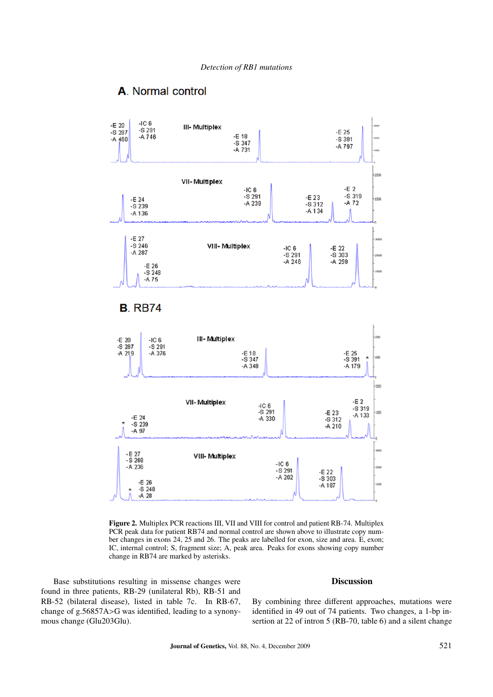

## A. Normal control

Figure 2. Multiplex PCR reactions III, VII and VIII for control and patient RB-74. Multiplex PCR peak data for patient RB74 and normal control are shown above to illustrate copy number changes in exons 24, 25 and 26. The peaks are labelled for exon, size and area. E, exon; IC, internal control; S, fragment size; A, peak area. Peaks for exons showing copy number change in RB74 are marked by asterisks.

Base substitutions resulting in missense changes were found in three patients, RB-29 (unilateral Rb), RB-51 and RB-52 (bilateral disease), listed in table 7c. In RB-67, change of g.56857A>G was identified, leading to a synonymous change (Glu203Glu).

## Discussion

By combining three different approaches, mutations were identified in 49 out of 74 patients. Two changes, a 1-bp insertion at 22 of intron 5 (RB-70, table 6) and a silent change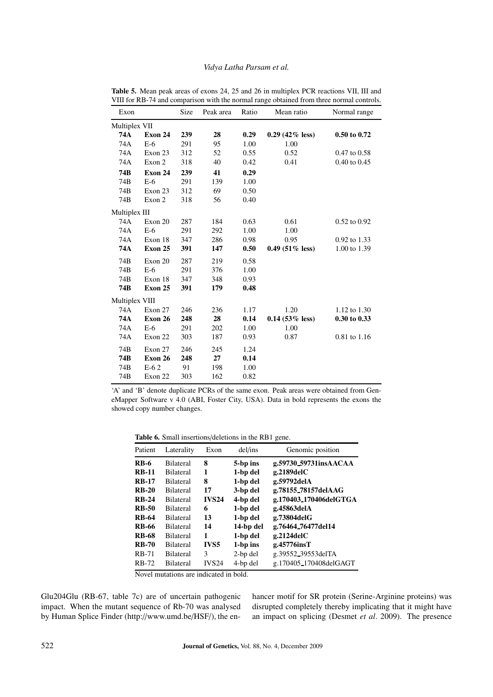## *Vidya Latha Parsam et al.*

| Exon           |         | Size | Peak area | Ratio | Mean ratio        | Normal range     |
|----------------|---------|------|-----------|-------|-------------------|------------------|
| Multiplex VII  |         |      |           |       |                   |                  |
| 74A            | Exon 24 | 239  | 28        | 0.29  | $0.29(42\%$ less) | 0.50 to 0.72     |
| 74A            | $E-6$   | 291  | 95        | 1.00  | 1.00              |                  |
| 74A            | Exon 23 | 312  | 52        | 0.55  | 0.52              | $0.47$ to $0.58$ |
| 74A            | Exon 2  | 318  | 40        | 0.42  | 0.41              | $0.40$ to $0.45$ |
| 74B            | Exon 24 | 239  | 41        | 0.29  |                   |                  |
| 74B            | $E-6$   | 291  | 139       | 1.00  |                   |                  |
| 74B            | Exon 23 | 312  | 69        | 0.50  |                   |                  |
| 74B            | Exon 2  | 318  | 56        | 0.40  |                   |                  |
| Multiplex III  |         |      |           |       |                   |                  |
| 74A            | Exon 20 | 287  | 184       | 0.63  | 0.61              | $0.52$ to $0.92$ |
| 74A            | $E-6$   | 291  | 292       | 1.00  | 1.00              |                  |
| 74A            | Exon 18 | 347  | 286       | 0.98  | 0.95              | 0.92 to 1.33     |
| 74A            | Exon 25 | 391  | 147       | 0.50  | $0.49(51\%$ less) | 1.00 to 1.39     |
| 74B            | Exon 20 | 287  | 219       | 0.58  |                   |                  |
| 74B            | $E-6$   | 291  | 376       | 1.00  |                   |                  |
| 74B            | Exon 18 | 347  | 348       | 0.93  |                   |                  |
| 74B            | Exon 25 | 391  | 179       | 0.48  |                   |                  |
| Multiplex VIII |         |      |           |       |                   |                  |
| 74A            | Exon 27 | 246  | 236       | 1.17  | 1.20              | 1.12 to 1.30     |
| 74A            | Exon 26 | 248  | 28        | 0.14  | $0.14$ (53% less) | 0.30 to 0.33     |
| 74A            | $E-6$   | 291  | 202       | 1.00  | 1.00              |                  |
| 74A            | Exon 22 | 303  | 187       | 0.93  | 0.87              | 0.81 to 1.16     |
| 74B            | Exon 27 | 246  | 245       | 1.24  |                   |                  |
| 74B            | Exon 26 | 248  | 27        | 0.14  |                   |                  |
| 74B            | $E-62$  | 91   | 198       | 1.00  |                   |                  |
| 74B            | Exon 22 | 303  | 162       | 0.82  |                   |                  |

Table 5. Mean peak areas of exons 24, 25 and 26 in multiplex PCR reactions VII, III and VIII for RB-74 and comparison with the normal range obtained from three normal controls.

'A' and 'B' denote duplicate PCRs of the same exon. Peak areas were obtained from GeneMapper Software v 4.0 (ABI, Foster City, USA). Data in bold represents the exons the showed copy number changes.

Table 6. Small insertions/deletions in the RB1 gene.

| Patient      | Laterality       | Exon         | del/ins   | Genomic position       |
|--------------|------------------|--------------|-----------|------------------------|
| <b>RB-6</b>  | <b>Bilateral</b> | 8            | 5-bp ins  | g.59730_59731insAACAA  |
| <b>RB-11</b> | <b>Bilateral</b> | 1            | 1-bp del  | $g.2189$ del $C$       |
| <b>RB-17</b> | <b>Bilateral</b> | 8            | 1-bp del  | g.59792delA            |
| $RB-20$      | <b>Bilateral</b> | 17           | 3-bp del  | g.78155_78157delAAG    |
| $RB-24$      | <b>Bilateral</b> | <b>IVS24</b> | 4-bp del  | g.170403_170406delGTGA |
| <b>RB-50</b> | <b>Bilateral</b> | 6            | 1-bp del  | g.45863delA            |
| <b>RB-64</b> | <b>Bilateral</b> | 13           | 1-bp del  | g.73804delG            |
| <b>RB-66</b> | <b>Bilateral</b> | 14           | 14-bp del | g.76464_76477del14     |
| <b>RB-68</b> | <b>Bilateral</b> | 1            | 1-bp del  | $g.2124$ del $C$       |
| <b>RB-70</b> | <b>Bilateral</b> | <b>IVS5</b>  | 1-bp ins  | g.45776insT            |
| <b>RB-71</b> | <b>Bilateral</b> | 3            | 2-bp del  | g.39552_39553delTA     |
| <b>RB-72</b> | <b>Bilateral</b> | <b>IVS24</b> | 4-bp del  | g.170405_170408delGAGT |

Novel mutations are indicated in bold.

Glu204Glu (RB-67, table 7c) are of uncertain pathogenic impact. When the mutant sequence of Rb-70 was analysed by Human Splice Finder (http://www.umd.be/HSF/), the enhancer motif for SR protein (Serine-Arginine proteins) was disrupted completely thereby implicating that it might have an impact on splicing (Desmet *et al*. 2009). The presence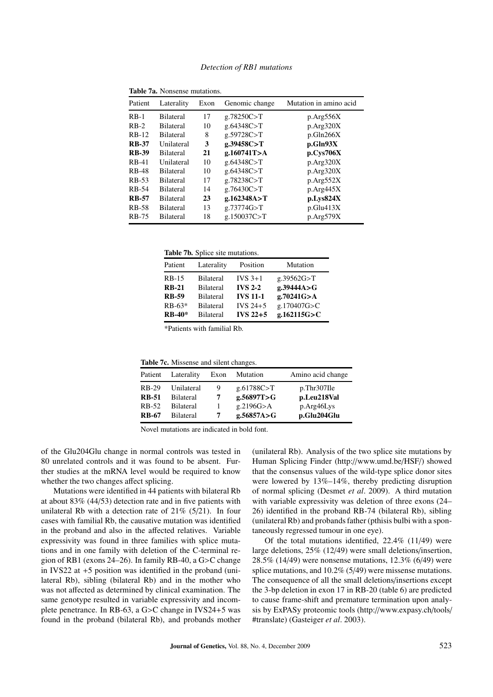| Patient      | Laterality       | Exon | Genomic change | Mutation in amino acid |
|--------------|------------------|------|----------------|------------------------|
| $RB-1$       | <b>Bilateral</b> | 17   | g.78250C > T   | p. Arg556X             |
| $RB-2$       | <b>Bilateral</b> | 10   | g.64348C > T   | p.Arg320X              |
| $RB-12$      | <b>Bilateral</b> | 8    | g.59728C > T   | p.Gln266X              |
| <b>RB-37</b> | Unilateral       | 3    | g.39458C > T   | p.Gln93X               |
| <b>RB-39</b> | <b>Bilateral</b> | 21   | g.160741T > A  | p.Cys706X              |
| <b>RB-41</b> | Unilateral       | 10   | g.64348C > T   | p. Arg320X             |
| <b>RB-48</b> | <b>Bilateral</b> | 10   | g.64348C > T   | p. Arg320X             |
| <b>RB-53</b> | <b>Bilateral</b> | 17   | g.78238C > T   | p.Arg552X              |
| RB-54        | <b>Bilateral</b> | 14   | g.76430C > T   | p. Arg445X             |
| <b>RB-57</b> | <b>Bilateral</b> | 23   | g.162348A > T  | p.Lys824X              |
| RB-58        | <b>Bilateral</b> | 13   | g.73774G > T   | p.Glu413X              |
| <b>RB-75</b> | <b>Bilateral</b> | 18   | g.150037C > T  | p.Arg579X              |
|              |                  |      |                |                        |

Table 7a. Nonsense mutations.

Table 7b. Splice site mutations.

| Patient      | Laterality       | Position        | Mutation     |
|--------------|------------------|-----------------|--------------|
| $RB-15$      | <b>Bilateral</b> | $IVS$ 3+1       | g.39562G > T |
| <b>RB-21</b> | <b>Bilateral</b> | <b>IVS 2-2</b>  | g.39444A>G   |
| <b>RB-59</b> | <b>Bilateral</b> | <b>IVS 11-1</b> | g.70241G > A |
| $RB-63*$     | <b>Bilateral</b> | IVS $24+5$      | g.170407G>C  |
| $RB-40*$     | <b>Bilateral</b> | $IVS$ 22+5      | g.162115G>C  |

\*Patients with familial Rb.

Table 7c. Missense and silent changes.

| Patient      | Laterality       | Exon | Mutation     | Amino acid change |
|--------------|------------------|------|--------------|-------------------|
| RB-29        | Unilateral       | 9    | g.61788C > T | p.Thr307Ile       |
| <b>RB-51</b> | <b>Bilateral</b> | 7    | g.56897T > G | p.Leu218Val       |
| RB-52        | <b>Bilateral</b> |      | g.2196G > A  | p.Arg46Lys        |
| <b>RB-67</b> | <b>Bilateral</b> |      | g.56857A > G | p.Glu204Glu       |

Novel mutations are indicated in bold font.

of the Glu204Glu change in normal controls was tested in 80 unrelated controls and it was found to be absent. Further studies at the mRNA level would be required to know whether the two changes affect splicing.

Mutations were identified in 44 patients with bilateral Rb at about 83% (44/53) detection rate and in five patients with unilateral Rb with a detection rate of  $21\%$  (5/21). In four cases with familial Rb, the causative mutation was identified in the proband and also in the affected relatives. Variable expressivity was found in three families with splice mutations and in one family with deletion of the C-terminal region of RB1 (exons 24–26). In family RB-40, a G>C change in IVS22 at +5 position was identified in the proband (unilateral Rb), sibling (bilateral Rb) and in the mother who was not affected as determined by clinical examination. The same genotype resulted in variable expressivity and incomplete penetrance. In RB-63, a G>C change in IVS24+5 was found in the proband (bilateral Rb), and probands mother

(unilateral Rb). Analysis of the two splice site mutations by Human Splicing Finder (http://www.umd.be/HSF/) showed that the consensus values of the wild-type splice donor sites were lowered by 13%–14%, thereby predicting disruption of normal splicing (Desmet *et al*. 2009). A third mutation with variable expressivity was deletion of three exons (24– 26) identified in the proband RB-74 (bilateral Rb), sibling (unilateral Rb) and probands father (pthisis bulbi with a spontaneously regressed tumour in one eye).

Of the total mutations identified, 22.4% (11/49) were large deletions, 25% (12/49) were small deletions/insertion, 28.5% (14/49) were nonsense mutations, 12.3% (6/49) were splice mutations, and 10.2% (5/49) were missense mutations. The consequence of all the small deletions/insertions except the 3-bp deletion in exon 17 in RB-20 (table 6) are predicted to cause frame-shift and premature termination upon analysis by ExPASy proteomic tools (http://www.expasy.ch/tools/ #translate) (Gasteiger *et al*. 2003).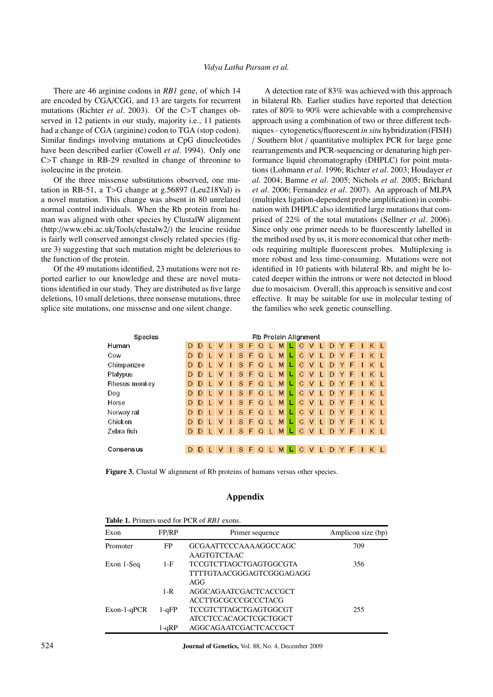There are 46 arginine codons in *RB1* gene, of which 14 are encoded by CGA/CGG, and 13 are targets for recurrent mutations (Richter *et al*. 2003). Of the C>T changes observed in 12 patients in our study, majority i.e., 11 patients had a change of CGA (arginine) codon to TGA (stop codon). Similar findings involving mutations at CpG dinucleotides have been described earlier (Cowell *et al*. 1994). Only one C>T change in RB-29 resulted in change of threonine to isoleucine in the protein.

Of the three missense substitutions observed, one mutation in RB-51, a T>G change at g.56897 (Leu218Val) is a novel mutation. This change was absent in 80 unrelated normal control individuals. When the Rb protein from human was aligned with other species by ClustalW alignment (http://www.ebi.ac.uk/Tools/clustalw2/) the leucine residue is fairly well conserved amongst closely related species (figure 3) suggesting that such mutation might be deleterious to the function of the protein.

Of the 49 mutations identified, 23 mutations were not reported earlier to our knowledge and these are novel mutations identified in our study. They are distributed as five large deletions, 10 small deletions, three nonsense mutations, three splice site mutations, one missense and one silent change.

A detection rate of 83% was achieved with this approach in bilateral Rb. Earlier studies have reported that detection rates of 80% to 90% were achievable with a comprehensive approach using a combination of two or three different techniques - cytogenetics/fluorescent *in situ* hybridization (FISH) / Southern blot / quantitative multiplex PCR for large gene rearrangements and PCR-sequencing or denaturing high performance liquid chromatography (DHPLC) for point mutations (Lohmann *et al*. 1996; Richter *et al*. 2003; Houdayer *et al*. 2004; Bamne *et al*. 2005; Nichols *et al*. 2005; Brichard *et al*. 2006; Fernandez *et al*. 2007). An approach of MLPA (multiplex ligation-dependent probe amplification) in combination with DHPLC also identified large mutations that comprised of 22% of the total mutations (Sellner *et al*. 2006). Since only one primer needs to be fluorescently labelled in the method used by us, it is more economical that other methods requiring multiple fluorescent probes. Multiplexing is more robust and less time-consuming. Mutations were not identified in 10 patients with bilateral Rb, and might be located deeper within the introns or were not detected in blood due to mosaicism. Overall, this approach is sensitive and cost effective. It may be suitable for use in molecular testing of the families who seek genetic counselling.

| Species       | Rb Protein Alignment |   |   |     |    |       |   |          |   |   |             |        |    |    |    |           |    |    |  |
|---------------|----------------------|---|---|-----|----|-------|---|----------|---|---|-------------|--------|----|----|----|-----------|----|----|--|
| Human         | D                    | D |   | v   |    | S     | F | $\Omega$ |   | М | С           | v      | L  | D  | Y  | F         |    | K  |  |
| Cow           | D                    | D |   | v   |    | S     | F | $\Omega$ |   | M | C           | v      | L  | D  | Y  | F         |    | K  |  |
| Chimpanzee    | D                    | D | п | v   |    | S     | F | $\Omega$ | ш | M | $\mathbf C$ | v      | L  | D  | Y  | F         |    | K  |  |
| Platypus      | D                    | D | т | v   | ı  | S     | F | $\Omega$ | L | M | C           | v      | L  | D  | Y  | F         |    | K  |  |
| Rhesus monkey | D                    | D | L | v   | п  | S     | F | $\Omega$ | ш | M | C           | V      | L  | D  | Y  | F         |    | Κ  |  |
| Dog           | D                    | D | п | v   | 1  | S     | F | $\Omega$ | п | M | C           | V      | L  | D  | Y  | F         |    | K  |  |
| Horse         | D                    | D | п | v   | п  | S     | F | Q        |   | M | C           | $\vee$ | L  | D  | Y  | F         |    | K  |  |
| Norway rat    | D                    | D | L | v   | ı  | S     | F | $\Omega$ | L | M | C           | V      | L  | D  | Y  | F         |    | K  |  |
| Chicken       | D                    | D | L | v   | ı  | S     | F | $\Omega$ | L | M | $\mathbf C$ | V      | L  | D  | Y  | F         |    | Κ  |  |
| Zebra fish    | D                    | D | т | V   | п  | S.    | F | $\Omega$ | ш | М | C           | V      | L  | D. | Y  | F         | ı. | K. |  |
|               |                      |   |   |     |    |       |   |          |   |   |             |        |    |    |    |           |    |    |  |
| Consensus     | D                    |   |   | DLV | -1 | $S$ F |   | $Q$ L    |   | M | $\mathbf C$ |        | VL |    | DY | $F \perp$ |    |    |  |
|               |                      |   |   |     |    |       |   |          |   |   |             |        |    |    |    |           |    |    |  |

Figure 3. Clustal W alignment of Rb proteins of humans versus other species.

## Appendix

| <b>TADIC 1.</b> FILITIOIS USED TOFF CIN OF <i>KDT</i> GAOIIS. |                          |                                                     |     |  |  |  |  |  |  |  |
|---------------------------------------------------------------|--------------------------|-----------------------------------------------------|-----|--|--|--|--|--|--|--|
| Exon                                                          | FP/RP<br>Primer sequence |                                                     |     |  |  |  |  |  |  |  |
| Promoter                                                      | FP                       | GCGAATTCCCAAAAGGCCAGC<br>AAGTGTCTAAC                | 709 |  |  |  |  |  |  |  |
| Exon 1-Seq                                                    | $1-F$                    | TCCGTCTTAGCTGAGTGGCGTA<br>TTTTGTAACGGGAGTCGGGAGAGG  | 356 |  |  |  |  |  |  |  |
|                                                               | $1-R$                    | AGG<br>AGGCAGAATCGACTCACCGCT<br>ACCTTGCGCCCGCCCTACG |     |  |  |  |  |  |  |  |
| $Exon-1-qPCR$                                                 | $1 - qFP$                | TCCGTCTTAGCTGAGTGGCGT<br>ATCCTCCACAGCTCGCTGGCT      | 255 |  |  |  |  |  |  |  |
|                                                               | $1-qRP$                  | AGGCAGAATCGACTCACCGCT                               |     |  |  |  |  |  |  |  |

Table 1. <u>Drimars used for DCD</u> of *BB1* example.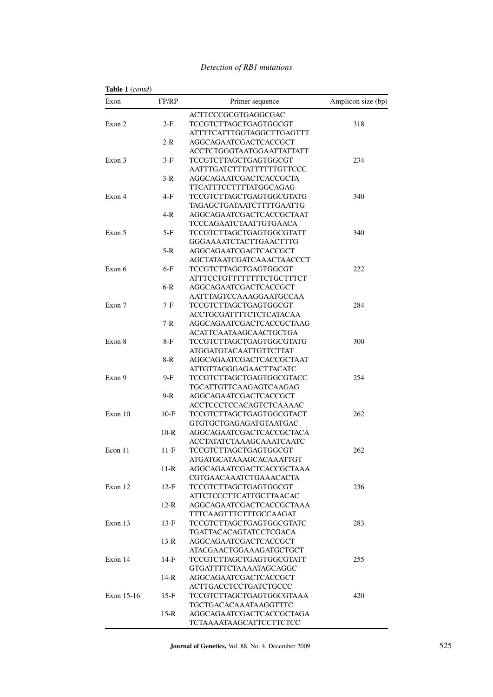| Exon       | FP/RP   | Primer sequence                  | Amplicon size (bp) |
|------------|---------|----------------------------------|--------------------|
|            |         | ACTTCCCGCGTGAGGCGAC              |                    |
| Exon 2     | 2-F     | <b>TCCGTCTTAGCTGAGTGGCGT</b>     | 318                |
|            |         | ATTTTCATTTGGTAGGCTTGAGTTT        |                    |
|            | 2-R     | AGGCAGAATCGACTCACCGCT            |                    |
|            |         | ACCTCTGGGTAATGGAATTATTATT        |                    |
| Exon 3     | $3-F$   | TCCGTCTTAGCTGAGTGGCGT            | 234                |
|            |         | AATTTGATCTTTATTTTTTGTTCCC        |                    |
|            | $3-R$   | AGGCAGAATCGACTCACCGCTA           |                    |
|            |         | TTCATTTCCTTTTATGGCAGAG           |                    |
| Exon 4     | 4-F     | TCCGTCTTAGCTGAGTGGCGTATG         | 340                |
|            |         | TAGAGCTGATAATCTTTTGAATTG         |                    |
|            | $4-R$   | AGGCAGAATCGACTCACCGCTAAT         |                    |
|            |         | TCCCAGAATCTAATTGTGAACA           |                    |
| Exon 5     | 5-F     | <b>TCCGTCTTAGCTGAGTGGCGTATT</b>  | 340                |
|            |         |                                  |                    |
|            |         | GGGAAAATCTACTTGAACTTTG           |                    |
|            | 5-R     | AGGCAGAATCGACTCACCGCT            |                    |
|            |         | AGCTATAATCGATCAAACTAACCCT        |                    |
| Exon 6     | $6-F$   | <b>TCCGTCTTAGCTGAGTGGCGT</b>     | 222                |
|            |         | <b>ATTTCCTGTTTTTTTTCTGCTTTCT</b> |                    |
|            | $6-R$   | AGGCAGAATCGACTCACCGCT            |                    |
|            |         | AATTTAGTCCAAAGGAATGCCAA          |                    |
| Exon 7     | 7-F     | TCCGTCTTAGCTGAGTGGCGT            | 284                |
|            |         | <b>ACCTGCGATTTTCTCTCATACAA</b>   |                    |
|            | $7 - R$ | AGGCAGAATCGACTCACCGCTAAG         |                    |
|            |         | <b>ACATTCAATAAGCAACTGCTGA</b>    |                    |
| Exon 8     | 8-F     | <b>TCCGTCTTAGCTGAGTGGCGTATG</b>  | 300                |
|            |         | ATGGATGTACAATTGTTCTTAT           |                    |
|            | 8-R     | AGGCAGAATCGACTCACCGCTAAT         |                    |
|            |         | ATTGTTAGGGAGAACTTACATC           |                    |
| Exon 9     | $9-F$   | <b>TCCGTCTTAGCTGAGTGGCGTACC</b>  | 254                |
|            |         | TGCATTGTTCAAGAGTCAAGAG           |                    |
|            | 9-R     | AGGCAGAATCGACTCACCGCT            |                    |
|            |         | ACCTCCCTCCACAGTCTCAAAAC          |                    |
| Exon 10    | $10-F$  | <b>TCCGTCTTAGCTGAGTGGCGTACT</b>  | 262                |
|            |         | <b>GTGTGCTGAGAGATGTAATGAC</b>    |                    |
|            |         | AGGCAGAATCGACTCACCGCTACA         |                    |
|            | $10-R$  |                                  |                    |
|            |         | ACCTATATCTAAAGCAAATCAATC         |                    |
| Econ 11    | $11-F$  | <b>TCCGTCTTAGCTGAGTGGCGT</b>     | 262                |
|            |         | ATGATGCATAAAGCACAAATTGT          |                    |
|            | $11-R$  | AGGCAGAATCGACTCACCGCTAAA         |                    |
|            |         | CGTGAACAAATCTGAAACACTA           |                    |
| Exon 12    | $12-F$  | TCCGTCTTAGCTGAGTGGCGT            | 236                |
|            |         | <b>ATTCTCCCTTCATTGCTTAACAC</b>   |                    |
|            | $12-R$  | AGGCAGAATCGACTCACCGCTAAA         |                    |
|            |         | TTTCAAGTTTCTTTGCCAAGAT           |                    |
| Exon 13    | $13-F$  | <b>TCCGTCTTAGCTGAGTGGCGTATC</b>  | 283                |
|            |         | <b>TGATTACACAGTATCCTCGACA</b>    |                    |
|            | $13-R$  | AGGCAGAATCGACTCACCGCT            |                    |
|            |         | <b>ATACGAACTGGAAAGATGCTGCT</b>   |                    |
| Exon 14    | 14-F    | <b>TCCGTCTTAGCTGAGTGGCGTATT</b>  | 255                |
|            |         | <b>GTGATTTTCTAAAATAGCAGGC</b>    |                    |
|            | $14-R$  | AGGCAGAATCGACTCACCGCT            |                    |
|            |         | ACTTGACCTCCTGATCTGCCC            |                    |
|            |         |                                  |                    |
| Exon 15-16 | $15-F$  | TCCGTCTTAGCTGAGTGGCGTAAA         | 420                |
|            |         | TGCTGACACAAATAAGGTTTC            |                    |
|            | $15-R$  | AGGCAGAATCGACTCACCGCTAGA         |                    |
|            |         | <b>TCTAAAATAAGCATTCCTTCTCC</b>   |                    |

## *Detection of RB1 mutations*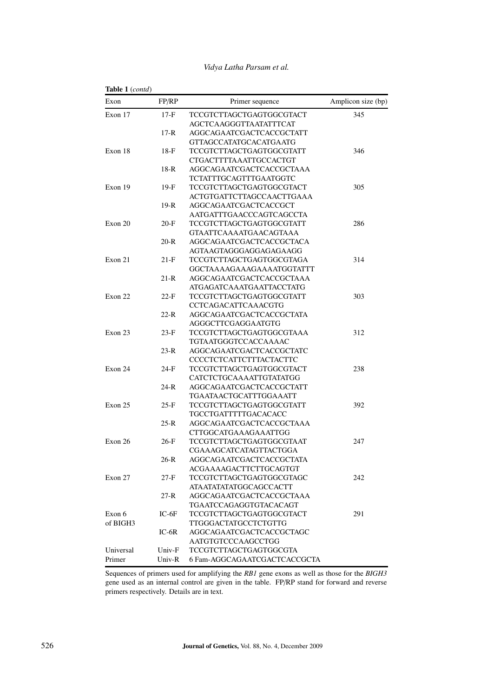| Table 1 (contd) |         |                                 |                    |
|-----------------|---------|---------------------------------|--------------------|
| Exon            | FP/RP   | Primer sequence                 | Amplicon size (bp) |
| Exon 17         | $17-F$  | TCCGTCTTAGCTGAGTGGCGTACT        | 345                |
|                 |         | AGCTCAAGGGTTAATATTTCAT          |                    |
|                 | $17-R$  | AGGCAGAATCGACTCACCGCTATT        |                    |
|                 |         | <b>GTTAGCCATATGCACATGAATG</b>   |                    |
| Exon 18         | $18-F$  | TCCGTCTTAGCTGAGTGGCGTATT        | 346                |
|                 |         | CTGACTTTTAAATTGCCACTGT          |                    |
|                 | $18-R$  | AGGCAGAATCGACTCACCGCTAAA        |                    |
|                 |         | TCTATTTGCAGTTTGAATGGTC          |                    |
| Exon 19         | $19-F$  | <b>TCCGTCTTAGCTGAGTGGCGTACT</b> | 305                |
|                 |         | ACTGTGATTCTTAGCCAACTTGAAA       |                    |
|                 | $19-R$  | AGGCAGAATCGACTCACCGCT           |                    |
|                 |         | AATGATTTGAACCCAGTCAGCCTA        |                    |
| Exon 20         | $20-F$  | TCCGTCTTAGCTGAGTGGCGTATT        | 286                |
|                 |         | <b>GTAATTCAAAATGAACAGTAAA</b>   |                    |
|                 | $20-R$  | AGGCAGAATCGACTCACCGCTACA        |                    |
|                 |         | AGTAAGTAGGGAGGAGAGAAGG          |                    |
| Exon 21         | $21-F$  | TCCGTCTTAGCTGAGTGGCGTAGA        | 314                |
|                 |         | GGCTAAAAGAAAGAAAATGGTATTT       |                    |
|                 | $21-R$  | AGGCAGAATCGACTCACCGCTAAA        |                    |
|                 |         | ATGAGATCAAATGAATTACCTATG        |                    |
| Exon 22         | 22-F    | <b>TCCGTCTTAGCTGAGTGGCGTATT</b> | 303                |
|                 |         | CCTCAGACATTCAAACGTG             |                    |
|                 | $22-R$  | AGGCAGAATCGACTCACCGCTATA        |                    |
|                 |         | AGGGCTTCGAGGAATGTG              |                    |
| Exon 23         | $23-F$  | TCCGTCTTAGCTGAGTGGCGTAAA        | 312                |
|                 |         | TGTAATGGGTCCACCAAAAC            |                    |
|                 | $23-R$  | AGGCAGAATCGACTCACCGCTATC        |                    |
|                 |         | CCCCTCTCATTCTTTACTACTTC         |                    |
| Exon 24         | $24-F$  | TCCGTCTTAGCTGAGTGGCGTACT        | 238                |
|                 |         | CATCTCTGCAAAATTGTATATGG         |                    |
|                 | 24-R    | AGGCAGAATCGACTCACCGCTATT        |                    |
|                 |         | TGAATAACTGCATTTGGAAATT          |                    |
| Exon 25         | $25-F$  | TCCGTCTTAGCTGAGTGGCGTATT        | 392                |
|                 |         | TGCCTGATTTTTGACACACC            |                    |
|                 | $25-R$  | AGGCAGAATCGACTCACCGCTAAA        |                    |
|                 |         | CTTGGCATGAAAGAAATTGG            |                    |
| Exon 26         | $26-F$  | TCCGTCTTAGCTGAGTGGCGTAAT        | 247                |
|                 |         | CGAAAGCATCATAGTTACTGGA          |                    |
|                 | $26-R$  | AGGCAGAATCGACTCACCGCTATA        |                    |
|                 |         | ACGAAAAGACTTCTTGCAGTGT          |                    |
| Exon 27         | $27-F$  | <b>TCCGTCTTAGCTGAGTGGCGTAGC</b> | 242                |
|                 |         | <b>ATAATATATATGGCAGCCACTT</b>   |                    |
|                 | $27-R$  | AGGCAGAATCGACTCACCGCTAAA        |                    |
|                 |         | TGAATCCAGAGGTGTACACAGT          |                    |
| Exon 6          | $IC-6F$ | <b>TCCGTCTTAGCTGAGTGGCGTACT</b> | 291                |
| of BIGH3        |         | <b>TTGGGACTATGCCTCTGTTG</b>     |                    |
|                 | $IC-6R$ | AGGCAGAATCGACTCACCGCTAGC        |                    |
|                 |         | AATGTGTCCCAAGCCTGG              |                    |
| Universal       | Univ-F  | <b>TCCGTCTTAGCTGAGTGGCGTA</b>   |                    |
| Primer          | Univ-R  | 6 Fam-AGGCAGAATCGACTCACCGCTA    |                    |
|                 |         |                                 |                    |

## *Vidya Latha Parsam et al.*

Sequences of primers used for amplifying the *RB1* gene exons as well as those for the *BIGH3* gene used as an internal control are given in the table. FP/RP stand for forward and reverse primers respectively. Details are in text.